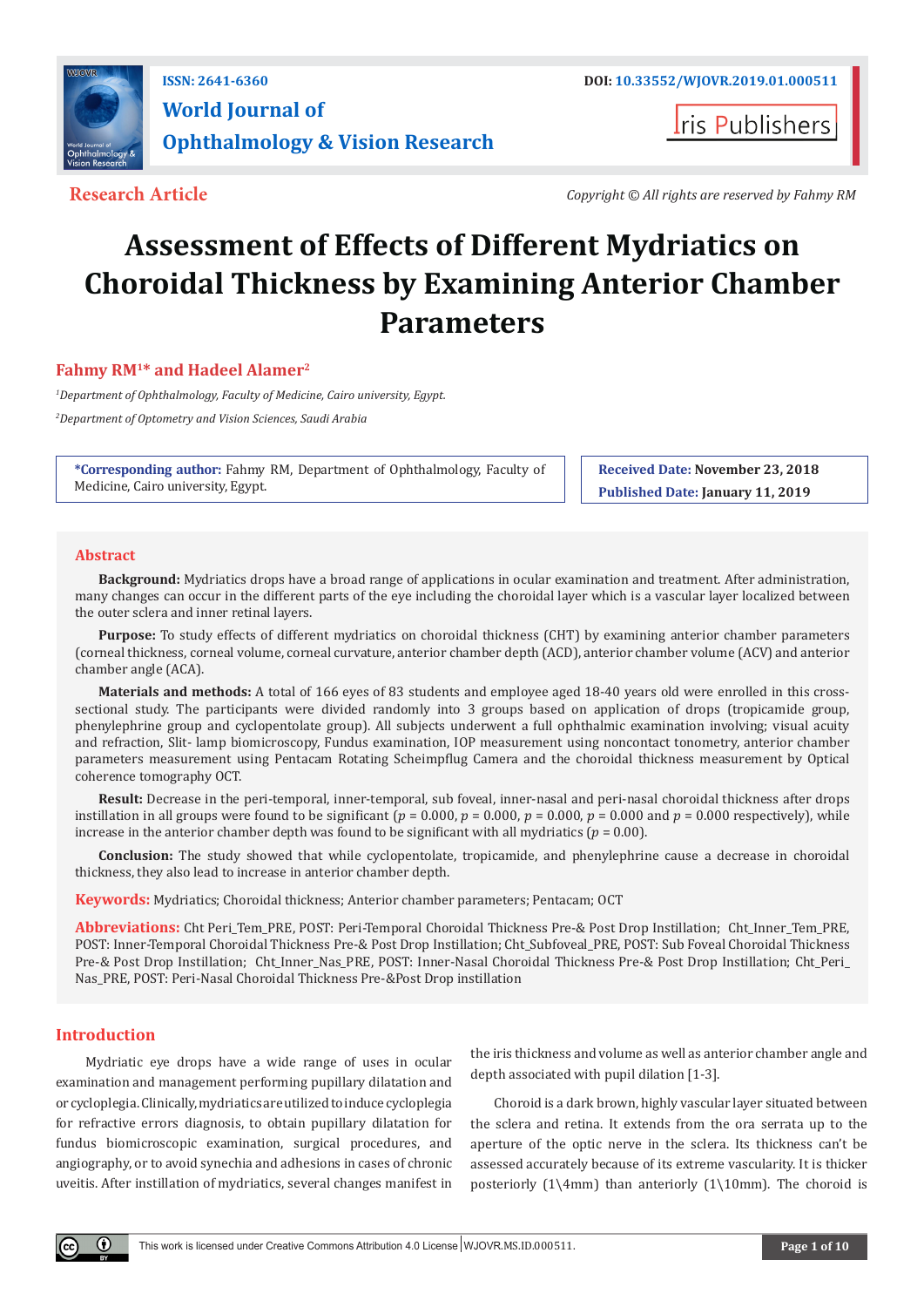

## **ISSN: 2641-6360 DOI: [10.33552/WJOVR.2019.01.000511](http://dx.doi.org/10.33552/WJOVR.2019.01.000511) World Journal of Ophthalmology & Vision Research**

**I**ris Publishers

**Research Article** *Copyright © All rights are reserved by Fahmy RM*

# **Assessment of Effects of Different Mydriatics on Choroidal Thickness by Examining Anterior Chamber Parameters**

### **Fahmy RM1\* and Hadeel Alamer2**

*1 Department of Ophthalmology, Faculty of Medicine, Cairo university, Egypt. 2 Department of Optometry and Vision Sciences, Saudi Arabia*

**\*Corresponding author:** Fahmy RM, Department of Ophthalmology, Faculty of Medicine, Cairo university, Egypt.

**Received Date: November 23, 2018 Published Date: January 11, 2019**

#### **Abstract**

**Background:** Mydriatics drops have a broad range of applications in ocular examination and treatment. After administration, many changes can occur in the different parts of the eye including the choroidal layer which is a vascular layer localized between the outer sclera and inner retinal layers.

**Purpose:** To study effects of different mydriatics on choroidal thickness (CHT) by examining anterior chamber parameters (corneal thickness, corneal volume, corneal curvature, anterior chamber depth (ACD), anterior chamber volume (ACV) and anterior chamber angle (ACA).

**Materials and methods:** A total of 166 eyes of 83 students and employee aged 18-40 years old were enrolled in this crosssectional study. The participants were divided randomly into 3 groups based on application of drops (tropicamide group, phenylephrine group and cyclopentolate group). All subjects underwent a full ophthalmic examination involving; visual acuity and refraction, Slit- lamp biomicroscopy, Fundus examination, IOP measurement using noncontact tonometry, anterior chamber parameters measurement using Pentacam Rotating Scheimpflug Camera and the choroidal thickness measurement by Optical coherence tomography OCT.

**Result:** Decrease in the peri-temporal, inner-temporal, sub foveal, inner-nasal and peri-nasal choroidal thickness after drops instillation in all groups were found to be significant ( $p = 0.000$ ,  $p = 0.000$ ,  $p = 0.000$ ,  $p = 0.000$  and  $p = 0.000$  respectively), while increase in the anterior chamber depth was found to be significant with all mydriatics ( $p = 0.00$ ).

**Conclusion:** The study showed that while cyclopentolate, tropicamide, and phenylephrine cause a decrease in choroidal thickness, they also lead to increase in anterior chamber depth.

**Keywords:** Mydriatics; Choroidal thickness; Anterior chamber parameters; Pentacam; OCT

**Abbreviations:** Cht Peri\_Tem\_PRE, POST: Peri-Temporal Choroidal Thickness Pre-& Post Drop Instillation; Cht\_Inner\_Tem\_PRE, POST: Inner-Temporal Choroidal Thickness Pre-& Post Drop Instillation; Cht\_Subfoveal\_PRE, POST: Sub Foveal Choroidal Thickness Pre-& Post Drop Instillation; Cht\_Inner\_Nas\_PRE, POST: Inner-Nasal Choroidal Thickness Pre-& Post Drop Instillation; Cht\_Peri\_ Nas\_PRE, POST: Peri-Nasal Choroidal Thickness Pre-&Post Drop instillation

#### **Introduction**

Mydriatic eye drops have a wide range of uses in ocular examination and management performing pupillary dilatation and or cycloplegia. Clinically, mydriatics are utilized to induce cycloplegia for refractive errors diagnosis, to obtain pupillary dilatation for fundus biomicroscopic examination, surgical procedures, and angiography, or to avoid synechia and adhesions in cases of chronic uveitis. After instillation of mydriatics, several changes manifest in the iris thickness and volume as well as anterior chamber angle and depth associated with pupil dilation [1-3].

Choroid is a dark brown, highly vascular layer situated between the sclera and retina. It extends from the ora serrata up to the aperture of the optic nerve in the sclera. Its thickness can't be assessed accurately because of its extreme vascularity. It is thicker posteriorly  $(1\ \4mm)$  than anteriorly  $(1\ \10mm)$ . The choroid is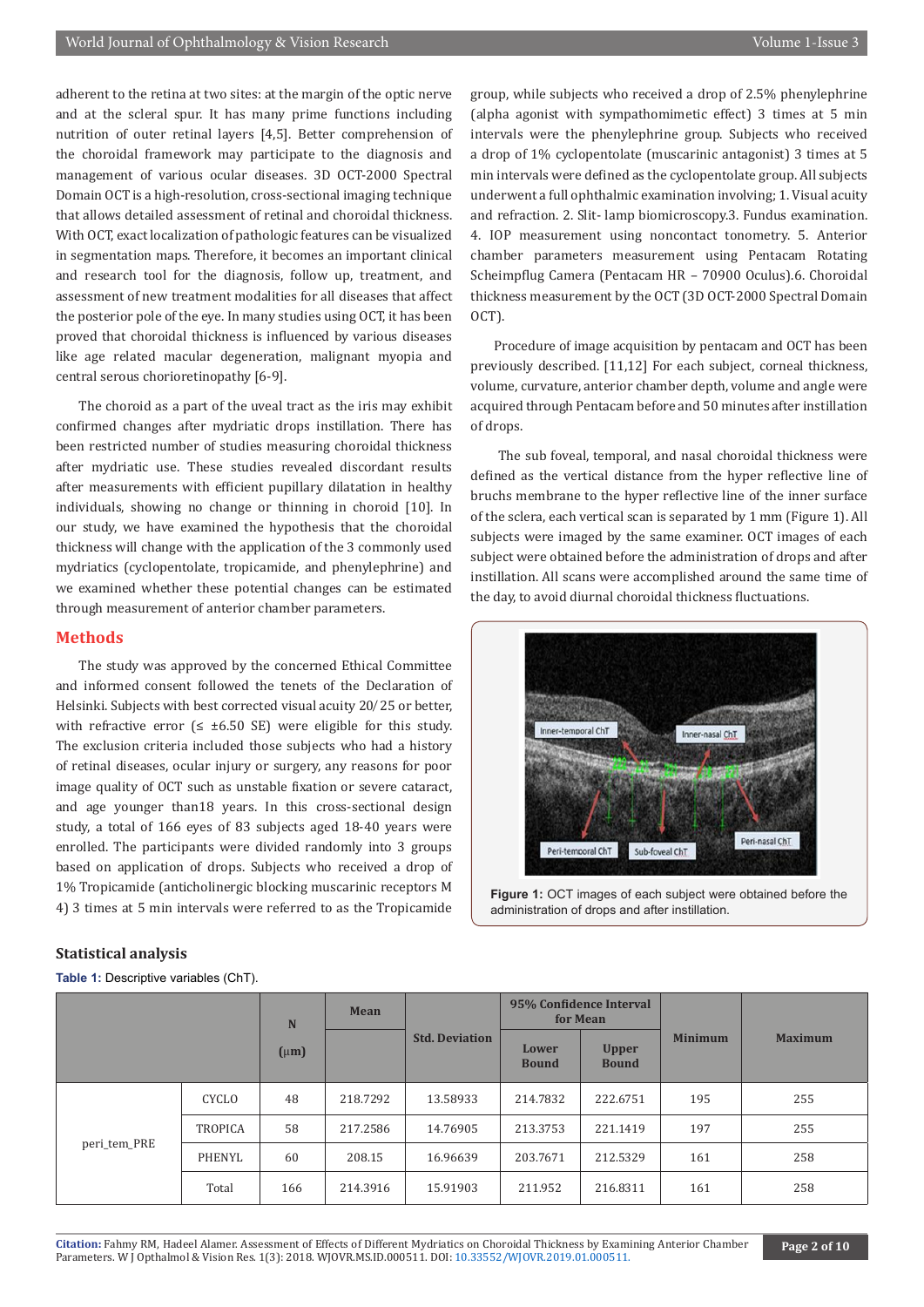adherent to the retina at two sites: at the margin of the optic nerve and at the scleral spur. It has many prime functions including nutrition of outer retinal layers [4,5]. Better comprehension of the choroidal framework may participate to the diagnosis and management of various ocular diseases. 3D OCT-2000 Spectral Domain OCT is a high-resolution, cross-sectional imaging technique that allows detailed assessment of retinal and choroidal thickness. With OCT, exact localization of pathologic features can be visualized in segmentation maps. Therefore, it becomes an important clinical and research tool for the diagnosis, follow up, treatment, and assessment of new treatment modalities for all diseases that affect the posterior pole of the eye. In many studies using OCT, it has been proved that choroidal thickness is influenced by various diseases like age related macular degeneration, malignant myopia and central serous chorioretinopathy [6-9].

The choroid as a part of the uveal tract as the iris may exhibit confirmed changes after mydriatic drops instillation. There has been restricted number of studies measuring choroidal thickness after mydriatic use. These studies revealed discordant results after measurements with efficient pupillary dilatation in healthy individuals, showing no change or thinning in choroid [10]. In our study, we have examined the hypothesis that the choroidal thickness will change with the application of the 3 commonly used mydriatics (cyclopentolate, tropicamide, and phenylephrine) and we examined whether these potential changes can be estimated through measurement of anterior chamber parameters.

#### **Methods**

The study was approved by the concerned Ethical Committee and informed consent followed the tenets of the Declaration of Helsinki. Subjects with best corrected visual acuity 20/25 or better, with refractive error  $(≤ ±6.50 SE)$  were eligible for this study. The exclusion criteria included those subjects who had a history of retinal diseases, ocular injury or surgery, any reasons for poor image quality of OCT such as unstable fixation or severe cataract, and age younger than18 years. In this cross-sectional design study, a total of 166 eyes of 83 subjects aged 18-40 years were enrolled. The participants were divided randomly into 3 groups based on application of drops. Subjects who received a drop of 1% Tropicamide (anticholinergic blocking muscarinic receptors M 4) 3 times at 5 min intervals were referred to as the Tropicamide

group, while subjects who received a drop of 2.5% phenylephrine (alpha agonist with sympathomimetic effect) 3 times at 5 min intervals were the phenylephrine group. Subjects who received a drop of 1% cyclopentolate (muscarinic antagonist) 3 times at 5 min intervals were defined as the cyclopentolate group. All subjects underwent a full ophthalmic examination involving; 1. Visual acuity and refraction. 2. Slit- lamp biomicroscopy.3. Fundus examination. 4. IOP measurement using noncontact tonometry. 5. Anterior chamber parameters measurement using Pentacam Rotating Scheimpflug Camera (Pentacam HR – 70900 Oculus).6. Choroidal thickness measurement by the OCT (3D OCT-2000 Spectral Domain OCT).

Procedure of image acquisition by pentacam and OCT has been previously described. [11,12] For each subject, corneal thickness, volume, curvature, anterior chamber depth, volume and angle were acquired through Pentacam before and 50 minutes after instillation of drops.

 The sub foveal, temporal, and nasal choroidal thickness were defined as the vertical distance from the hyper reflective line of bruchs membrane to the hyper reflective line of the inner surface of the sclera, each vertical scan is separated by 1 mm (Figure 1). All subjects were imaged by the same examiner. OCT images of each subject were obtained before the administration of drops and after instillation. All scans were accomplished around the same time of the day, to avoid diurnal choroidal thickness fluctuations.



**Figure 1:** OCT images of each subject were obtained before the administration of drops and after instillation.

#### **N (**µ**m) Mean Std. Deviation 95% Confidence Interval for Mean Minimum Maximum Lower Bound Upper Bound** peri\_tem\_PRE CYCLO 48 218.7292 13.58933 214.7832 222.6751 195 255 TROPICA 58 217.2586 14.76905 213.3753 221.1419 197 255 PHENYL | 60 | 208.15 | 16.96639 | 203.7671 | 212.5329 | 161 | 258 Total 166 214.3916 15.91903 211.952 216.8311 161 258

#### **Statistical analysis**

**Table 1:** Descriptive variables (ChT).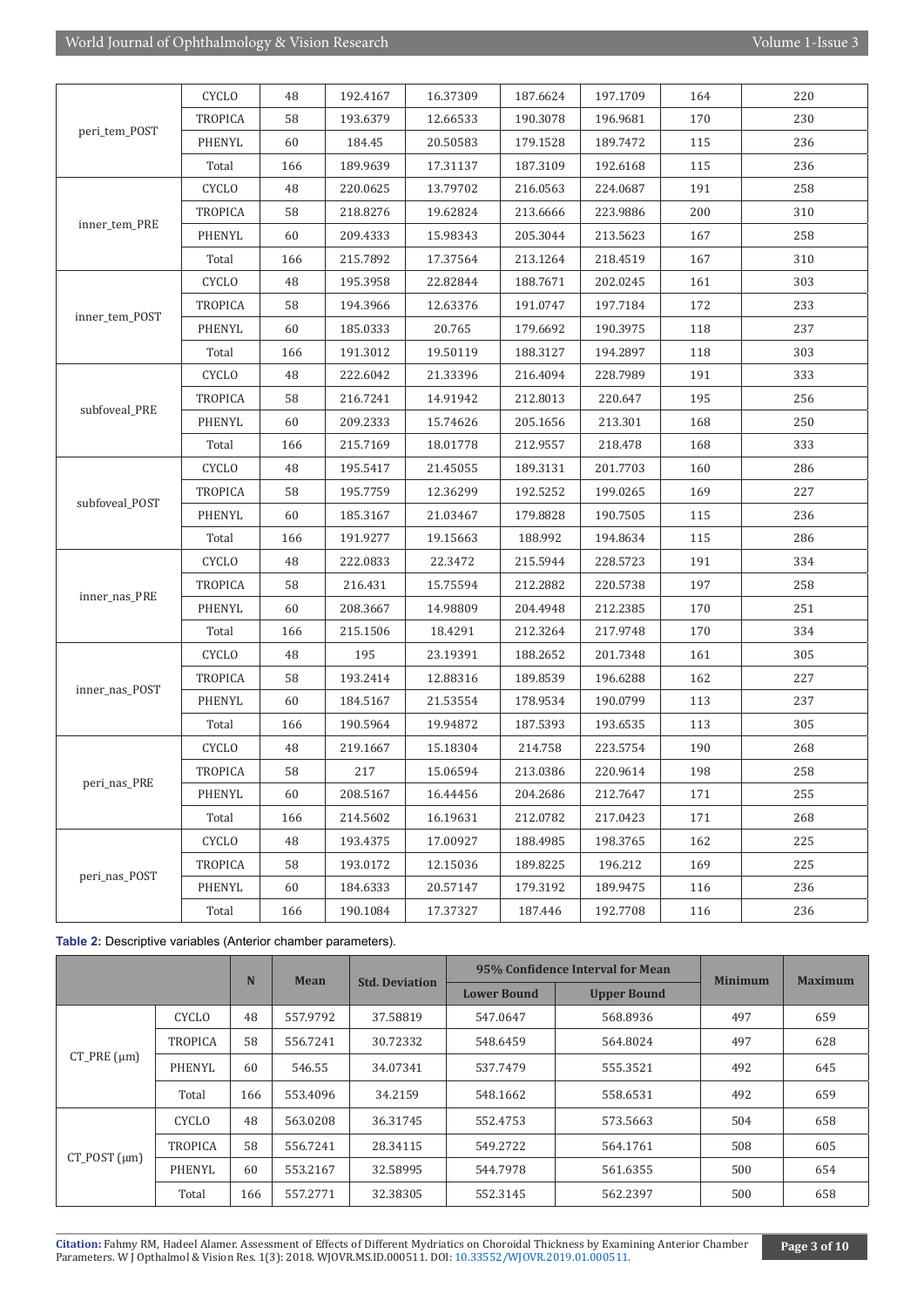|                | <b>CYCLO</b>   | 48  | 192.4167 | 16.37309 | 187.6624 | 197.1709 | 164 | 220 |
|----------------|----------------|-----|----------|----------|----------|----------|-----|-----|
|                | <b>TROPICA</b> | 58  | 193.6379 | 12.66533 | 190.3078 | 196.9681 | 170 | 230 |
| peri_tem_POST  | PHENYL         | 60  | 184.45   | 20.50583 | 179.1528 | 189.7472 | 115 | 236 |
|                | Total          | 166 | 189.9639 | 17.31137 | 187.3109 | 192.6168 | 115 | 236 |
|                | <b>CYCLO</b>   | 48  | 220.0625 | 13.79702 | 216.0563 | 224.0687 | 191 | 258 |
|                | <b>TROPICA</b> | 58  | 218.8276 | 19.62824 | 213.6666 | 223.9886 | 200 | 310 |
| inner_tem_PRE  | PHENYL         | 60  | 209.4333 | 15.98343 | 205.3044 | 213.5623 | 167 | 258 |
|                | Total          | 166 | 215.7892 | 17.37564 | 213.1264 | 218.4519 | 167 | 310 |
|                | <b>CYCLO</b>   | 48  | 195.3958 | 22.82844 | 188.7671 | 202.0245 | 161 | 303 |
|                | <b>TROPICA</b> | 58  | 194.3966 | 12.63376 | 191.0747 | 197.7184 | 172 | 233 |
| inner_tem_POST | <b>PHENYL</b>  | 60  | 185.0333 | 20.765   | 179.6692 | 190.3975 | 118 | 237 |
|                | Total          | 166 | 191.3012 | 19.50119 | 188.3127 | 194.2897 | 118 | 303 |
|                | <b>CYCLO</b>   | 48  | 222.6042 | 21.33396 | 216.4094 | 228.7989 | 191 | 333 |
|                | <b>TROPICA</b> | 58  | 216.7241 | 14.91942 | 212.8013 | 220.647  | 195 | 256 |
| subfoveal_PRE  | <b>PHENYL</b>  | 60  | 209.2333 | 15.74626 | 205.1656 | 213.301  | 168 | 250 |
|                | Total          | 166 | 215.7169 | 18.01778 | 212.9557 | 218.478  | 168 | 333 |
|                | <b>CYCLO</b>   | 48  | 195.5417 | 21.45055 | 189.3131 | 201.7703 | 160 | 286 |
|                | <b>TROPICA</b> | 58  | 195.7759 | 12.36299 | 192.5252 | 199.0265 | 169 | 227 |
| subfoveal_POST | <b>PHENYL</b>  | 60  | 185.3167 | 21.03467 | 179.8828 | 190.7505 | 115 | 236 |
|                | Total          | 166 | 191.9277 | 19.15663 | 188.992  | 194.8634 | 115 | 286 |
|                | <b>CYCLO</b>   | 48  | 222.0833 | 22.3472  | 215.5944 | 228.5723 | 191 | 334 |
|                | <b>TROPICA</b> | 58  | 216.431  | 15.75594 | 212.2882 | 220.5738 | 197 | 258 |
| inner_nas_PRE  | <b>PHENYL</b>  | 60  | 208.3667 | 14.98809 | 204.4948 | 212.2385 | 170 | 251 |
|                | Total          | 166 | 215.1506 | 18.4291  | 212.3264 | 217.9748 | 170 | 334 |
|                | <b>CYCLO</b>   | 48  | 195      | 23.19391 | 188.2652 | 201.7348 | 161 | 305 |
|                | <b>TROPICA</b> | 58  | 193.2414 | 12.88316 | 189.8539 | 196.6288 | 162 | 227 |
| inner_nas_POST | <b>PHENYL</b>  | 60  | 184.5167 | 21.53554 | 178.9534 | 190.0799 | 113 | 237 |
|                | Total          | 166 | 190.5964 | 19.94872 | 187.5393 | 193.6535 | 113 | 305 |
|                | <b>CYCLO</b>   | 48  | 219.1667 | 15.18304 | 214.758  | 223.5754 | 190 | 268 |
|                | <b>TROPICA</b> | 58  | 217      | 15.06594 | 213.0386 | 220.9614 | 198 | 258 |
| peri_nas_PRE   | <b>PHENYL</b>  | 60  | 208.5167 | 16.44456 | 204.2686 | 212.7647 | 171 | 255 |
|                | Total          | 166 | 214.5602 | 16.19631 | 212.0782 | 217.0423 | 171 | 268 |
|                | <b>CYCLO</b>   | 48  | 193.4375 | 17.00927 | 188.4985 | 198.3765 | 162 | 225 |
|                | <b>TROPICA</b> | 58  | 193.0172 | 12.15036 | 189.8225 | 196.212  | 169 | 225 |
| peri_nas_POST  | PHENYL         | 60  | 184.6333 | 20.57147 | 179.3192 | 189.9475 | 116 | 236 |
|                | Total          | 166 | 190.1084 | 17.37327 | 187.446  | 192.7708 | 116 | 236 |

**Table 2:** Descriptive variables (Anterior chamber parameters).

|                    |                | N   | Mean     | <b>Std. Deviation</b> |                    | 95% Confidence Interval for Mean | <b>Minimum</b> | <b>Maximum</b> |
|--------------------|----------------|-----|----------|-----------------------|--------------------|----------------------------------|----------------|----------------|
|                    |                |     |          |                       | <b>Lower Bound</b> | <b>Upper Bound</b>               |                |                |
|                    | CYCLO          | 48  | 557.9792 | 37.58819              | 547.0647           | 568.8936                         | 497            | 659            |
|                    | <b>TROPICA</b> | 58  | 556.7241 | 30.72332              | 548.6459           | 564.8024                         | 497            | 628            |
| $CT$ PRE $(\mu m)$ | PHENYL         | 60  | 546.55   | 34.07341              | 537.7479           | 555.3521                         | 492            | 645            |
|                    | Total          | 166 | 553.4096 | 34.2159               | 548.1662           | 558.6531                         | 492            | 659            |
|                    | <b>CYCLO</b>   | 48  | 563.0208 | 36.31745              | 552.4753           | 573.5663                         | 504            | 658            |
| $CT$ POST $(num)$  | <b>TROPICA</b> | 58  | 556.7241 | 28.34115              | 549.2722           | 564.1761                         | 508            | 605            |
|                    | <b>PHENYL</b>  | 60  | 553.2167 | 32.58995              | 544.7978           | 561.6355                         | 500            | 654            |
|                    | Total          | 166 | 557.2771 | 32.38305              | 552.3145           | 562.2397                         | 500            | 658            |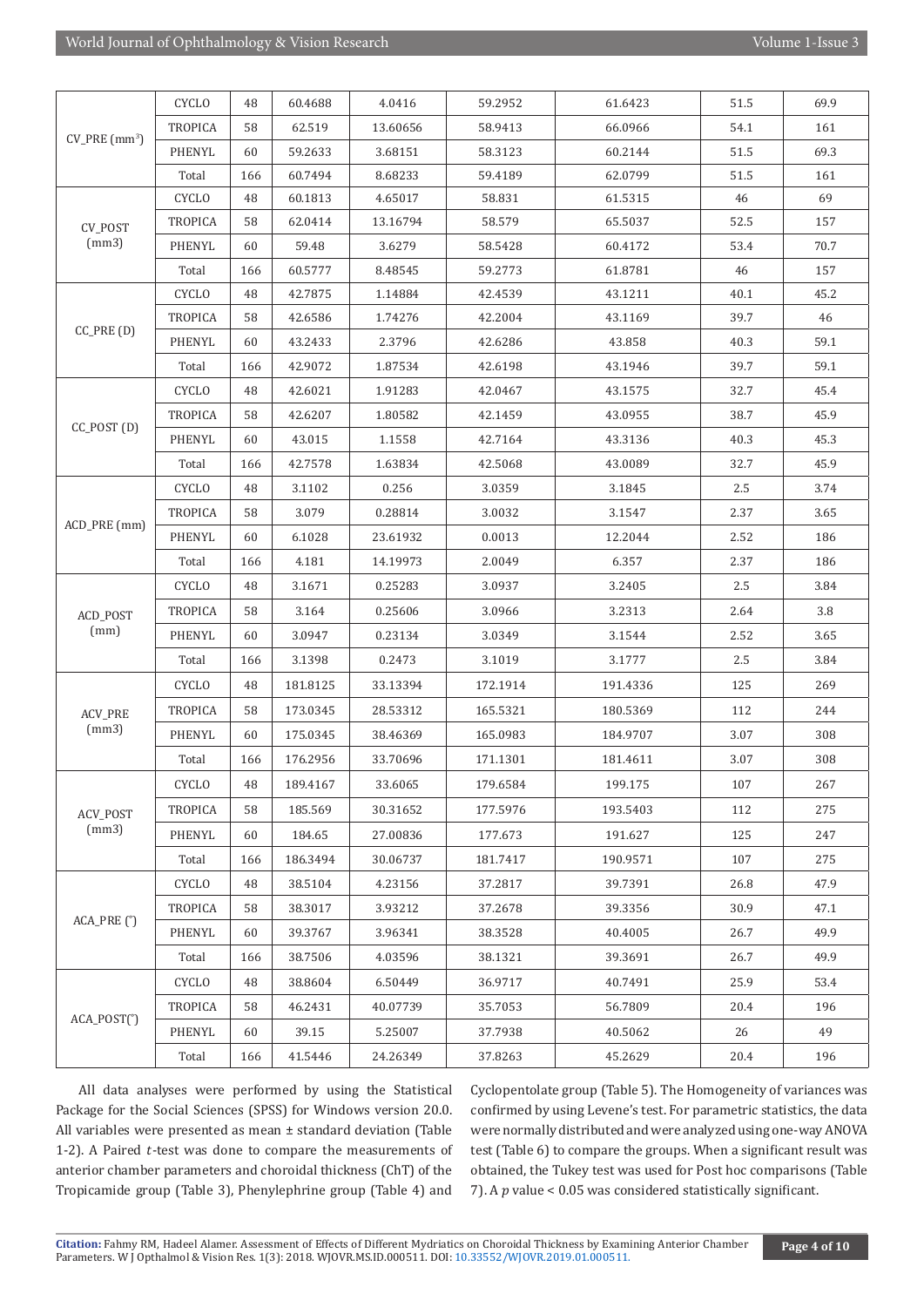|                              | <b>CYCLO</b>   | 48  | 60.4688  | 4.0416   | 59.2952  | 61.6423  | 51.5 | 69.9 |
|------------------------------|----------------|-----|----------|----------|----------|----------|------|------|
|                              | TROPICA        | 58  | 62.519   | 13.60656 | 58.9413  | 66.0966  | 54.1 | 161  |
| $CV\_PRE$ (mm <sup>3</sup> ) | PHENYL         | 60  | 59.2633  | 3.68151  | 58.3123  | 60.2144  | 51.5 | 69.3 |
|                              | Total          | 166 | 60.7494  | 8.68233  | 59.4189  | 62.0799  | 51.5 | 161  |
|                              | <b>CYCLO</b>   | 48  | 60.1813  | 4.65017  | 58.831   | 61.5315  | 46   | 69   |
| CV_POST                      | <b>TROPICA</b> | 58  | 62.0414  | 13.16794 | 58.579   | 65.5037  | 52.5 | 157  |
| (mm3)                        | PHENYL         | 60  | 59.48    | 3.6279   | 58.5428  | 60.4172  | 53.4 | 70.7 |
|                              | Total          | 166 | 60.5777  | 8.48545  | 59.2773  | 61.8781  | 46   | 157  |
|                              | <b>CYCLO</b>   | 48  | 42.7875  | 1.14884  | 42.4539  | 43.1211  | 40.1 | 45.2 |
| $CC_PRE(D)$                  | <b>TROPICA</b> | 58  | 42.6586  | 1.74276  | 42.2004  | 43.1169  | 39.7 | 46   |
|                              | PHENYL         | 60  | 43.2433  | 2.3796   | 42.6286  | 43.858   | 40.3 | 59.1 |
|                              | Total          | 166 | 42.9072  | 1.87534  | 42.6198  | 43.1946  | 39.7 | 59.1 |
|                              | <b>CYCLO</b>   | 48  | 42.6021  | 1.91283  | 42.0467  | 43.1575  | 32.7 | 45.4 |
| $CC_POST(D)$                 | <b>TROPICA</b> | 58  | 42.6207  | 1.80582  | 42.1459  | 43.0955  | 38.7 | 45.9 |
|                              | PHENYL         | 60  | 43.015   | 1.1558   | 42.7164  | 43.3136  | 40.3 | 45.3 |
|                              | Total          | 166 | 42.7578  | 1.63834  | 42.5068  | 43.0089  | 32.7 | 45.9 |
|                              | <b>CYCLO</b>   | 48  | 3.1102   | 0.256    | 3.0359   | 3.1845   | 2.5  | 3.74 |
|                              | <b>TROPICA</b> | 58  | 3.079    | 0.28814  | 3.0032   | 3.1547   | 2.37 | 3.65 |
| ACD_PRE (mm)                 | PHENYL         | 60  | 6.1028   | 23.61932 | 0.0013   | 12.2044  | 2.52 | 186  |
|                              | Total          | 166 | 4.181    | 14.19973 | 2.0049   | 6.357    | 2.37 | 186  |
|                              | <b>CYCLO</b>   | 48  | 3.1671   | 0.25283  | 3.0937   | 3.2405   | 2.5  | 3.84 |
| ACD_POST                     | <b>TROPICA</b> | 58  | 3.164    | 0.25606  | 3.0966   | 3.2313   | 2.64 | 3.8  |
| (mm)                         | PHENYL         | 60  | 3.0947   | 0.23134  | 3.0349   | 3.1544   | 2.52 | 3.65 |
|                              | Total          | 166 | 3.1398   | 0.2473   | 3.1019   | 3.1777   | 2.5  | 3.84 |
|                              | <b>CYCLO</b>   | 48  | 181.8125 | 33.13394 | 172.1914 | 191.4336 | 125  | 269  |
| ACV_PRE                      | <b>TROPICA</b> | 58  | 173.0345 | 28.53312 | 165.5321 | 180.5369 | 112  | 244  |
| (mm3)                        | PHENYL         | 60  | 175.0345 | 38.46369 | 165.0983 | 184.9707 | 3.07 | 308  |
|                              | Total          | 166 | 176.2956 | 33.70696 | 171.1301 | 181.4611 | 3.07 | 308  |
|                              | <b>CYCLO</b>   | 48  | 189.4167 | 33.6065  | 179.6584 | 199.175  | 107  | 267  |
| ACV_POST                     | <b>TROPICA</b> | 58  | 185.569  | 30.31652 | 177.5976 | 193.5403 | 112  | 275  |
| (mm3)                        | PHENYL         | 60  | 184.65   | 27.00836 | 177.673  | 191.627  | 125  | 247  |
|                              | Total          | 166 | 186.3494 | 30.06737 | 181.7417 | 190.9571 | 107  | 275  |
|                              | <b>CYCLO</b>   | 48  | 38.5104  | 4.23156  | 37.2817  | 39.7391  | 26.8 | 47.9 |
|                              | <b>TROPICA</b> | 58  | 38.3017  | 3.93212  | 37.2678  | 39.3356  | 30.9 | 47.1 |
| $ACA_PRE$ $(°)$              | PHENYL         | 60  | 39.3767  | 3.96341  | 38.3528  | 40.4005  | 26.7 | 49.9 |
|                              | Total          | 166 | 38.7506  | 4.03596  | 38.1321  | 39.3691  | 26.7 | 49.9 |
|                              | <b>CYCLO</b>   | 48  | 38.8604  | 6.50449  | 36.9717  | 40.7491  | 25.9 | 53.4 |
|                              | <b>TROPICA</b> | 58  | 46.2431  | 40.07739 | 35.7053  | 56.7809  | 20.4 | 196  |
| $ACA_POST(°)$                | PHENYL         | 60  | 39.15    | 5.25007  | 37.7938  | 40.5062  | 26   | 49   |
|                              | Total          | 166 | 41.5446  | 24.26349 | 37.8263  | 45.2629  | 20.4 | 196  |

All data analyses were performed by using the Statistical Package for the Social Sciences (SPSS) for Windows version 20.0. All variables were presented as mean ± standard deviation (Table 1-2). A Paired  $t$ -test was done to compare the measurements of anterior chamber parameters and choroidal thickness (ChT) of the Tropicamide group (Table 3), Phenylephrine group (Table 4) and

Cyclopentolate group (Table 5). The Homogeneity of variances was confirmed by using Levene's test. For parametric statistics, the data were normally distributed and were analyzed using one-way ANOVA test (Table 6) to compare the groups. When a significant result was obtained, the Tukey test was used for Post hoc comparisons (Table 7). A  $p$  value < 0.05 was considered statistically significant.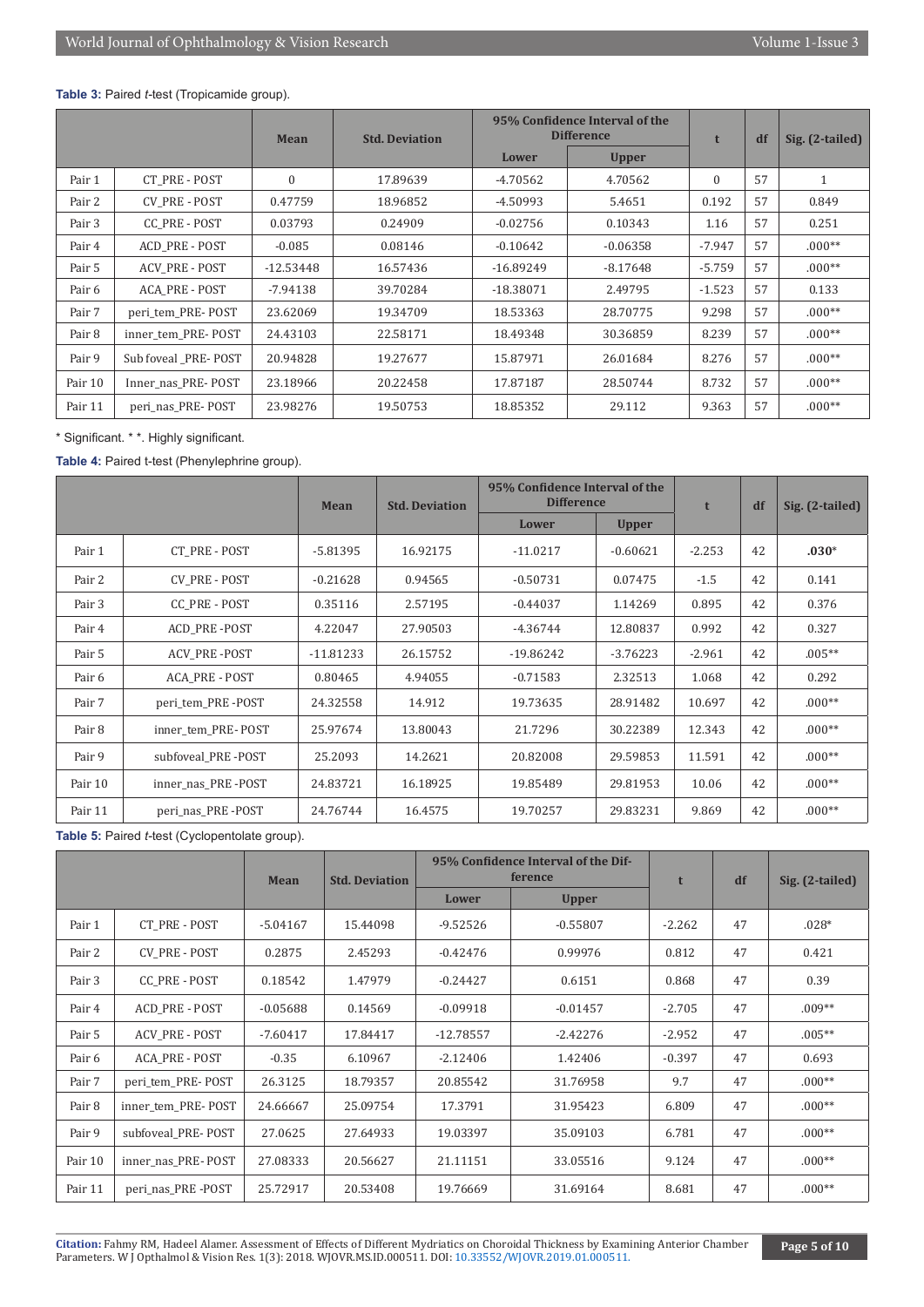#### **Table 3:** Paired *t-*test (Tropicamide group).

|         |                       | Mean         | 95% Confidence Interval of the<br><b>Difference</b><br><b>Std. Deviation</b> |             | t            | df       | Sig. (2-tailed) |          |
|---------|-----------------------|--------------|------------------------------------------------------------------------------|-------------|--------------|----------|-----------------|----------|
|         |                       |              |                                                                              | Lower       | <b>Upper</b> |          |                 |          |
| Pair 1  | CT PRE - POST         | $\mathbf{0}$ | 17.89639                                                                     | -4.70562    | 4.70562      | $\Omega$ | 57              | 1        |
| Pair 2  | <b>CV PRE - POST</b>  | 0.47759      | 18.96852                                                                     | -4.50993    | 5.4651       | 0.192    | 57              | 0.849    |
| Pair 3  | <b>CC PRE - POST</b>  | 0.03793      | 0.24909                                                                      | $-0.02756$  | 0.10343      | 1.16     | 57              | 0.251    |
| Pair 4  | ACD PRE - POST        | $-0.085$     | 0.08146                                                                      | $-0.10642$  | $-0.06358$   | $-7.947$ | 57              | $.000**$ |
| Pair 5  | <b>ACV PRE - POST</b> | $-12.53448$  | 16.57436                                                                     | $-16.89249$ | $-8.17648$   | $-5.759$ | 57              | $.000**$ |
| Pair 6  | <b>ACA PRE - POST</b> | $-7.94138$   | 39.70284                                                                     | $-18.38071$ | 2.49795      | $-1.523$ | 57              | 0.133    |
| Pair 7  | peri tem PRE-POST     | 23.62069     | 19.34709                                                                     | 18.53363    | 28.70775     | 9.298    | 57              | $.000**$ |
| Pair 8  | inner tem PRE-POST    | 24.43103     | 22.58171                                                                     | 18.49348    | 30.36859     | 8.239    | 57              | $.000**$ |
| Pair 9  | Sub foveal PRE-POST   | 20.94828     | 19.27677                                                                     | 15.87971    | 26.01684     | 8.276    | 57              | $.000**$ |
| Pair 10 | Inner nas PRE-POST    | 23.18966     | 20.22458                                                                     | 17.87187    | 28.50744     | 8.732    | 57              | $.000**$ |
| Pair 11 | peri_nas_PRE-POST     | 23.98276     | 19.50753                                                                     | 18.85352    | 29.112       | 9.363    | 57              | $.000**$ |

\* Significant. \* \*. Highly significant.

**Table 4:** Paired t-test (Phenylephrine group).

|         |                      | <b>Mean</b> | 95% Confidence Interval of the<br><b>Difference</b><br><b>Std. Deviation</b> |             | t            | df       | Sig. (2-tailed) |          |
|---------|----------------------|-------------|------------------------------------------------------------------------------|-------------|--------------|----------|-----------------|----------|
|         |                      |             |                                                                              | Lower       | <b>Upper</b> |          |                 |          |
| Pair 1  | CT PRE - POST        | $-5.81395$  | 16.92175                                                                     | $-11.0217$  | $-0.60621$   | $-2.253$ | 42              | $.030*$  |
| Pair 2  | <b>CV PRE - POST</b> | $-0.21628$  | 0.94565                                                                      | $-0.50731$  | 0.07475      | $-1.5$   | 42              | 0.141    |
| Pair 3  | CC PRE - POST        | 0.35116     | 2.57195                                                                      | $-0.44037$  | 1.14269      | 0.895    | 42              | 0.376    |
| Pair 4  | <b>ACD PRE-POST</b>  | 4.22047     | 27.90503                                                                     | $-4.36744$  | 12.80837     | 0.992    | 42              | 0.327    |
| Pair 5  | <b>ACV PRE-POST</b>  | $-11.81233$ | 26.15752                                                                     | $-19.86242$ | $-3.76223$   | $-2.961$ | 42              | $.005**$ |
| Pair 6  | ACA PRE - POST       | 0.80465     | 4.94055                                                                      | $-0.71583$  | 2.32513      | 1.068    | 42              | 0.292    |
| Pair 7  | peri tem PRE-POST    | 24.32558    | 14.912                                                                       | 19.73635    | 28.91482     | 10.697   | 42              | $.000**$ |
| Pair 8  | inner tem PRE-POST   | 25.97674    | 13.80043                                                                     | 21.7296     | 30.22389     | 12.343   | 42              | $.000**$ |
| Pair 9  | subfoveal PRE-POST   | 25.2093     | 14.2621                                                                      | 20.82008    | 29.59853     | 11.591   | 42              | $.000**$ |
| Pair 10 | inner nas PRE-POST   | 24.83721    | 16.18925                                                                     | 19.85489    | 29.81953     | 10.06    | 42              | $.000**$ |
| Pair 11 | peri nas PRE-POST    | 24.76744    | 16.4575                                                                      | 19.70257    | 29.83231     | 9.869    | 42              | $.000**$ |

**Table 5:** Paired *t-*test (Cyclopentolate group).

|         |                       | Mean       | <b>Std. Deviation</b> | 95% Confidence Interval of the Dif-<br>ference | t            | df       | Sig. (2-tailed) |          |
|---------|-----------------------|------------|-----------------------|------------------------------------------------|--------------|----------|-----------------|----------|
|         |                       |            |                       | Lower                                          | <b>Upper</b> |          |                 |          |
| Pair 1  | <b>CT PRE - POST</b>  | $-5.04167$ | 15.44098              | $-9.52526$                                     | $-0.55807$   | $-2.262$ | 47              | $.028*$  |
| Pair 2  | CV PRE - POST         | 0.2875     | 2.45293               | $-0.42476$                                     | 0.99976      | 0.812    | 47              | 0.421    |
| Pair 3  | <b>CC PRE - POST</b>  | 0.18542    | 1.47979               | $-0.24427$                                     | 0.6151       | 0.868    | 47              | 0.39     |
| Pair 4  | ACD PRE - POST        | $-0.05688$ | 0.14569               | $-0.09918$                                     | $-0.01457$   | $-2.705$ | 47              | $.009**$ |
| Pair 5  | <b>ACV PRE - POST</b> | $-7.60417$ | 17.84417              | $-12.78557$                                    | $-2.42276$   | $-2.952$ | 47              | $.005**$ |
| Pair 6  | ACA PRE - POST        | $-0.35$    | 6.10967               | $-2.12406$                                     | 1.42406      | $-0.397$ | 47              | 0.693    |
| Pair 7  | peri tem PRE-POST     | 26.3125    | 18.79357              | 20.85542                                       | 31.76958     | 9.7      | 47              | $.000**$ |
| Pair 8  | inner tem PRE-POST    | 24.66667   | 25.09754              | 17.3791                                        | 31.95423     | 6.809    | 47              | $.000**$ |
| Pair 9  | subfoveal PRE-POST    | 27.0625    | 27.64933              | 19.03397                                       | 35.09103     | 6.781    | 47              | $.000**$ |
| Pair 10 | inner nas PRE-POST    | 27.08333   | 20.56627              | 21.11151                                       | 33.05516     | 9.124    | 47              | $.000**$ |
| Pair 11 | peri_nas_PRE-POST     | 25.72917   | 20.53408              | 19.76669                                       | 31.69164     | 8.681    | 47              | $.000**$ |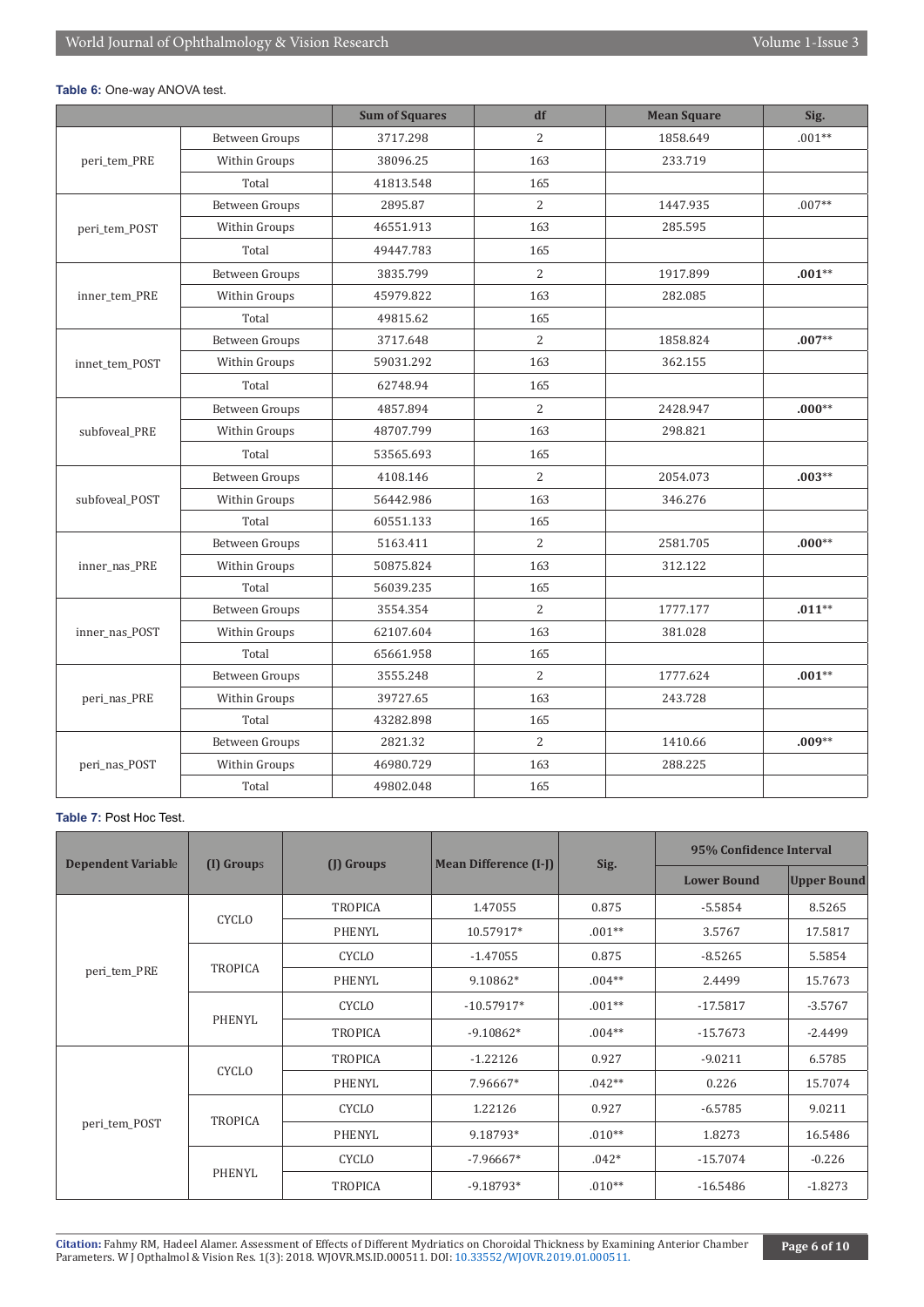#### **Table 6:** One-way ANOVA test.

|                |                       | <b>Sum of Squares</b> | df             | <b>Mean Square</b> | Sig.     |
|----------------|-----------------------|-----------------------|----------------|--------------------|----------|
|                | Between Groups        | 3717.298              | 2              | 1858.649           | $.001**$ |
| peri tem PRE   | Within Groups         | 38096.25              | 163            | 233.719            |          |
|                | Total                 | 41813.548             | 165            |                    |          |
|                | <b>Between Groups</b> | 2895.87               | 2              | 1447.935           | $.007**$ |
| peri_tem_POST  | Within Groups         | 46551.913             | 163            | 285.595            |          |
|                | Total                 | 49447.783             | 165            |                    |          |
|                | Between Groups        | 3835.799              | 2              | 1917.899           | $.001**$ |
| inner_tem_PRE  | Within Groups         | 45979.822             | 163            | 282.085            |          |
|                | Total                 | 49815.62              | 165            |                    |          |
|                | <b>Between Groups</b> | 3717.648              | 2              | 1858.824           | $.007**$ |
| innet_tem_POST | Within Groups         | 59031.292             | 163            | 362.155            |          |
|                | Total                 | 62748.94              | 165            |                    |          |
|                | Between Groups        | 4857.894              | $\overline{2}$ | 2428.947           | $.000**$ |
| subfoveal_PRE  | Within Groups         | 48707.799             | 163            | 298.821            |          |
|                | Total                 | 53565.693             | 165            |                    |          |
|                | Between Groups        | 4108.146              | $\overline{2}$ | 2054.073           | $.003**$ |
| subfoveal_POST | Within Groups         | 56442.986             | 163            | 346.276            |          |
|                | Total                 | 60551.133             | 165            |                    |          |
|                | <b>Between Groups</b> | 5163.411              | 2              | 2581.705           | $.000**$ |
| inner_nas_PRE  | Within Groups         | 50875.824             | 163            | 312.122            |          |
|                | Total                 | 56039.235             | 165            |                    |          |
|                | <b>Between Groups</b> | 3554.354              | $\overline{2}$ | 1777.177           | $.011**$ |
| inner_nas_POST | Within Groups         | 62107.604             | 163            | 381.028            |          |
|                | Total                 | 65661.958             | 165            |                    |          |
|                | <b>Between Groups</b> | 3555.248              | 2              | 1777.624           | $.001**$ |
| peri_nas_PRE   | Within Groups         | 39727.65              | 163            | 243.728            |          |
|                | Total                 | 43282.898             | 165            |                    |          |
|                | <b>Between Groups</b> | 2821.32               | 2              | 1410.66            | $.009**$ |
| peri_nas_POST  | Within Groups         | 46980.729             | 163            | 288.225            |          |
|                | Total                 | 49802.048             | 165            |                    |          |

#### **Table 7:** Post Hoc Test.

|                           |                |                |                              |          | 95% Confidence Interval |                    |  |
|---------------------------|----------------|----------------|------------------------------|----------|-------------------------|--------------------|--|
| <b>Dependent Variable</b> | (I) Groups     | (I) Groups     | <b>Mean Difference (I-J)</b> | Sig.     | <b>Lower Bound</b>      | <b>Upper Bound</b> |  |
|                           |                | <b>TROPICA</b> | 1.47055                      | 0.875    | $-5.5854$               | 8.5265             |  |
|                           | CYCLO          | PHENYL         | 10.57917*                    | $.001**$ | 3.5767                  | 17.5817            |  |
|                           |                | <b>CYCLO</b>   | $-1.47055$                   | 0.875    | $-8.5265$               | 5.5854             |  |
| peri_tem_PRE              | <b>TROPICA</b> | PHENYL         | 9.10862*                     | $.004**$ | 2.4499                  | 15.7673            |  |
|                           | PHENYL         | <b>CYCLO</b>   | $-10.57917*$                 | $.001**$ | $-17.5817$              | $-3.5767$          |  |
|                           |                | <b>TROPICA</b> | $-9.10862*$                  | $.004**$ | $-15.7673$              | $-2.4499$          |  |
|                           | <b>CYCLO</b>   | <b>TROPICA</b> | $-1.22126$                   | 0.927    | $-9.0211$               | 6.5785             |  |
|                           |                | PHENYL         | 7.96667*                     | $.042**$ | 0.226                   | 15.7074            |  |
| peri_tem_POST             | <b>TROPICA</b> | <b>CYCLO</b>   | 1.22126                      | 0.927    | $-6.5785$               | 9.0211             |  |
|                           |                | PHENYL         | 9.18793*                     | $.010**$ | 1.8273                  | 16.5486            |  |
|                           | PHENYL         | <b>CYCLO</b>   | $-7.96667*$                  | $.042*$  | $-15.7074$              | $-0.226$           |  |
|                           |                | <b>TROPICA</b> | $-9.18793*$                  | $.010**$ | $-16.5486$              | $-1.8273$          |  |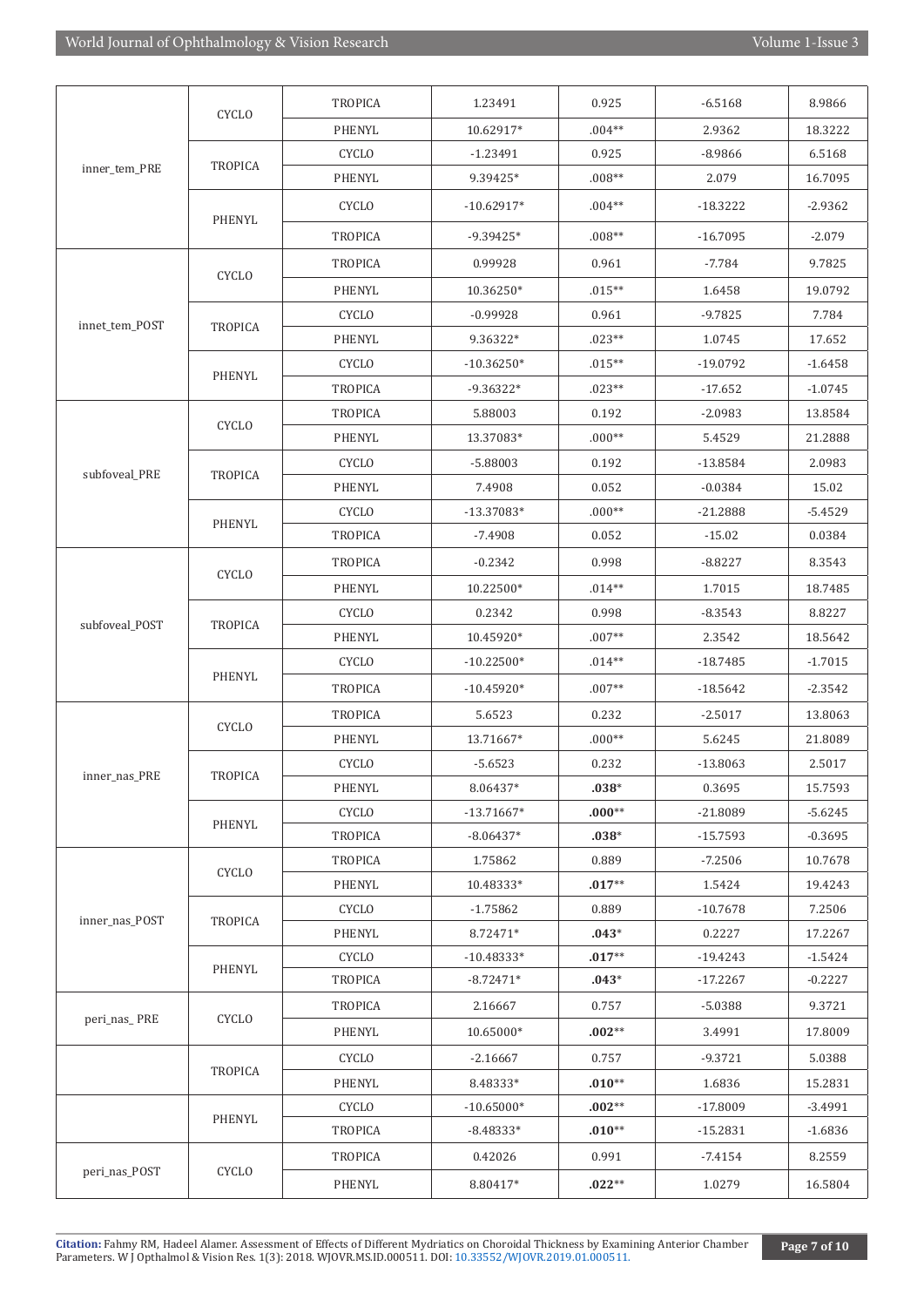|                | <b>CYCLO</b>   | TROPICA        | 1.23491      | 0.925    | $-6.5168$  | 8.9866    |
|----------------|----------------|----------------|--------------|----------|------------|-----------|
|                |                | PHENYL         | 10.62917*    | $.004**$ | 2.9362     | 18.3222   |
|                |                | <b>CYCLO</b>   | $-1.23491$   | 0.925    | $-8.9866$  | 6.5168    |
| inner_tem_PRE  | <b>TROPICA</b> | PHENYL         | 9.39425*     | $.008**$ | 2.079      | 16.7095   |
|                | PHENYL         | <b>CYCLO</b>   | $-10.62917*$ | $.004**$ | $-18.3222$ | $-2.9362$ |
|                |                | <b>TROPICA</b> | $-9.39425*$  | $.008**$ | $-16.7095$ | $-2.079$  |
|                |                | TROPICA        | 0.99928      | 0.961    | $-7.784$   | 9.7825    |
|                | <b>CYCLO</b>   | PHENYL         | 10.36250*    | $.015**$ | 1.6458     | 19.0792   |
|                |                | <b>CYCLO</b>   | $-0.99928$   | 0.961    | $-9.7825$  | 7.784     |
| innet_tem_POST | <b>TROPICA</b> | PHENYL         | 9.36322*     | $.023**$ | 1.0745     | 17.652    |
|                |                | <b>CYCLO</b>   | $-10.36250*$ | $.015**$ | $-19.0792$ | $-1.6458$ |
|                | PHENYL         | TROPICA        | $-9.36322*$  | $.023**$ | $-17.652$  | $-1.0745$ |
|                |                | <b>TROPICA</b> | 5.88003      | 0.192    | $-2.0983$  | 13.8584   |
|                | <b>CYCLO</b>   | PHENYL         | 13.37083*    | $.000**$ | 5.4529     | 21.2888   |
|                |                | <b>CYCLO</b>   | $-5.88003$   | 0.192    | -13.8584   | 2.0983    |
| subfoveal_PRE  | <b>TROPICA</b> | PHENYL         | 7.4908       | 0.052    | $-0.0384$  | 15.02     |
|                |                | <b>CYCLO</b>   | $-13.37083*$ | $.000**$ | $-21.2888$ | $-5.4529$ |
|                | PHENYL         | <b>TROPICA</b> | $-7.4908$    | 0.052    | $-15.02$   | 0.0384    |
|                |                | <b>TROPICA</b> | $-0.2342$    | 0.998    | $-8.8227$  | 8.3543    |
|                | <b>CYCLO</b>   | PHENYL         | 10.22500*    | $.014**$ | 1.7015     | 18.7485   |
|                |                | <b>CYCLO</b>   | 0.2342       | 0.998    | $-8.3543$  | 8.8227    |
| subfoveal_POST | <b>TROPICA</b> | PHENYL         | 10.45920*    | $.007**$ | 2.3542     | 18.5642   |
|                |                | <b>CYCLO</b>   | $-10.22500*$ | $.014**$ | $-18.7485$ | $-1.7015$ |
|                | PHENYL         | TROPICA        | $-10.45920*$ | $.007**$ | $-18.5642$ | $-2.3542$ |
|                |                | <b>TROPICA</b> | 5.6523       | 0.232    | $-2.5017$  | 13.8063   |
|                | <b>CYCLO</b>   | PHENYL         | 13.71667*    | $.000**$ | 5.6245     | 21.8089   |
| inner nas PRE  | <b>TROPICA</b> | <b>CYCLO</b>   | $-5.6523$    | 0.232    | $-13.8063$ | 2.5017    |
|                |                | PHENYL         | 8.06437*     | $.038*$  | 0.3695     | 15.7593   |
|                | PHENYL         | <b>CYCLO</b>   | $-13.71667*$ | $.000**$ | $-21.8089$ | $-5.6245$ |
|                |                | <b>TROPICA</b> | $-8.06437*$  | $.038*$  | $-15.7593$ | $-0.3695$ |
|                | <b>CYCLO</b>   | <b>TROPICA</b> | 1.75862      | 0.889    | $-7.2506$  | 10.7678   |
|                |                | PHENYL         | 10.48333*    | $.017**$ | 1.5424     | 19.4243   |
| inner_nas_POST | <b>TROPICA</b> | <b>CYCLO</b>   | $-1.75862$   | 0.889    | $-10.7678$ | 7.2506    |
|                |                | PHENYL         | 8.72471*     | $.043*$  | 0.2227     | 17.2267   |
|                | PHENYL         | <b>CYCLO</b>   | $-10.48333*$ | $.017**$ | $-19.4243$ | $-1.5424$ |
|                |                | <b>TROPICA</b> | $-8.72471*$  | $.043*$  | $-17.2267$ | $-0.2227$ |
| peri_nas_PRE   | <b>CYCLO</b>   | TROPICA        | 2.16667      | 0.757    | $-5.0388$  | 9.3721    |
|                |                | PHENYL         | 10.65000*    | $.002**$ | 3.4991     | 17.8009   |
|                | <b>TROPICA</b> | <b>CYCLO</b>   | $-2.16667$   | 0.757    | $-9.3721$  | 5.0388    |
|                |                | PHENYL         | 8.48333*     | $.010**$ | 1.6836     | 15.2831   |
|                | PHENYL         | <b>CYCLO</b>   | $-10.65000*$ | $.002**$ | $-17.8009$ | $-3.4991$ |
|                |                | TROPICA        | $-8.48333*$  | $.010**$ | $-15.2831$ | $-1.6836$ |
| peri_nas_POST  | <b>CYCLO</b>   | <b>TROPICA</b> | 0.42026      | 0.991    | $-7.4154$  | 8.2559    |
|                |                | PHENYL         | 8.80417*     | $.022**$ | 1.0279     | 16.5804   |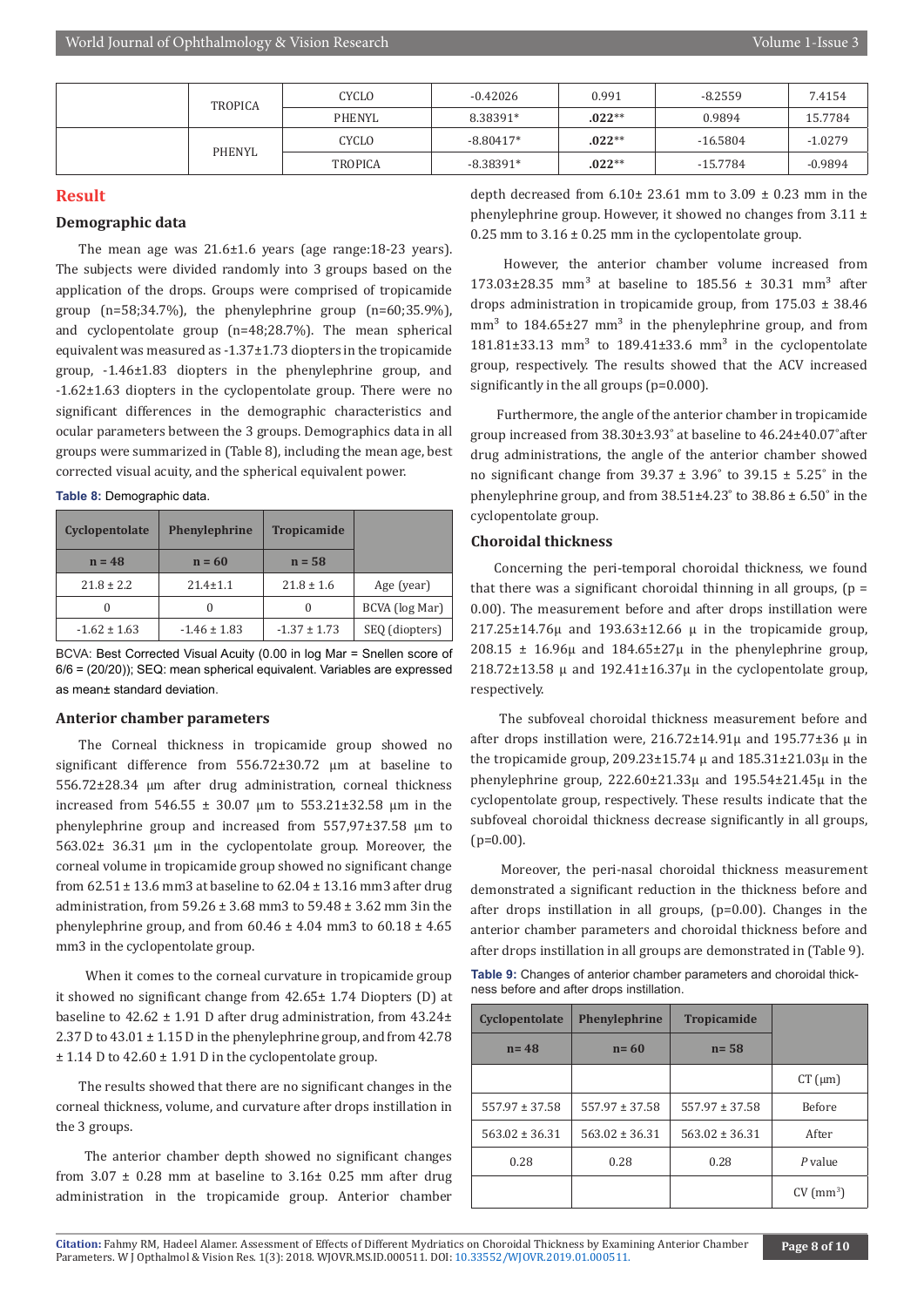|  | <b>TROPICA</b> | CYCLO          | $-0.42026$  | 0.991    | $-8.2559$  | 7.4154    |
|--|----------------|----------------|-------------|----------|------------|-----------|
|  |                | PHENYL         | 8.38391*    | $.022**$ | 0.9894     | 15.7784   |
|  | <b>PHENYL</b>  | CYCLO          | $-8.80417*$ | $.022**$ | $-16.5804$ | $-1.0279$ |
|  |                | <b>TROPICA</b> | $-8.38391*$ | $.022**$ | $-15.7784$ | $-0.9894$ |

#### **Result**

#### **Demographic data**

The mean age was 21.6±1.6 years (age range:18-23 years). The subjects were divided randomly into 3 groups based on the application of the drops. Groups were comprised of tropicamide group  $(n=58;34.7\%)$ , the phenylephrine group  $(n=60;35.9\%)$ , and cyclopentolate group (n=48;28.7%). The mean spherical equivalent was measured as -1.37±1.73 diopters in the tropicamide group, -1.46±1.83 diopters in the phenylephrine group, and -1.62±1.63 diopters in the cyclopentolate group. There were no significant differences in the demographic characteristics and ocular parameters between the 3 groups. Demographics data in all groups were summarized in (Table 8), including the mean age, best corrected visual acuity, and the spherical equivalent power.

|  |  | Table 8: Demographic data. |  |
|--|--|----------------------------|--|
|--|--|----------------------------|--|

| Cyclopentolate   | <b>Phenylephrine</b> | <b>Tropicamide</b> |                |
|------------------|----------------------|--------------------|----------------|
| $n = 48$         | $n = 60$             | $n = 58$           |                |
| $21.8 \pm 2.2$   | $21.4 \pm 1.1$       | $21.8 \pm 1.6$     | Age (year)     |
| $\theta$         |                      |                    | BCVA (log Mar) |
| $-1.62 \pm 1.63$ | $-1.46 \pm 1.83$     | $-1.37 \pm 1.73$   | SEQ (diopters) |

BCVA: Best Corrected Visual Acuity (0.00 in log Mar = Snellen score of 6/6 = (20/20)); SEQ: mean spherical equivalent. Variables are expressed as mean± standard deviation.

#### **Anterior chamber parameters**

The Corneal thickness in tropicamide group showed no significant difference from 556.72±30.72 µm at baseline to 556.72±28.34 µm after drug administration, corneal thickness increased from 546.55 ± 30.07 µm to 553.21±32.58 µm in the phenylephrine group and increased from 557,97±37.58 µm to 563.02± 36.31 µm in the cyclopentolate group. Moreover, the corneal volume in tropicamide group showed no significant change from 62.51 ± 13.6 mm3 at baseline to 62.04 ± 13.16 mm3 after drug administration, from 59.26 ± 3.68 mm3 to 59.48 ± 3.62 mm 3in the phenylephrine group, and from  $60.46 \pm 4.04$  mm3 to  $60.18 \pm 4.65$ mm3 in the cyclopentolate group.

 When it comes to the corneal curvature in tropicamide group it showed no significant change from 42.65± 1.74 Diopters (D) at baseline to  $42.62 \pm 1.91$  D after drug administration, from  $43.24 \pm$ 2.37 D to  $43.01 \pm 1.15$  D in the phenylephrine group, and from  $42.78$  $\pm$  1.14 D to 42.60  $\pm$  1.91 D in the cyclopentolate group.

The results showed that there are no significant changes in the corneal thickness, volume, and curvature after drops instillation in the 3 groups.

 The anterior chamber depth showed no significant changes from  $3.07 \pm 0.28$  mm at baseline to  $3.16 \pm 0.25$  mm after drug administration in the tropicamide group. Anterior chamber depth decreased from  $6.10 \pm 23.61$  mm to  $3.09 \pm 0.23$  mm in the phenylephrine group. However, it showed no changes from  $3.11 \pm$ 0.25 mm to  $3.16 \pm 0.25$  mm in the cyclopentolate group.

 However, the anterior chamber volume increased from  $173.03+28.35$  mm<sup>3</sup> at baseline to  $185.56 + 30.31$  mm<sup>3</sup> after drops administration in tropicamide group, from 175.03 ± 38.46  $mm<sup>3</sup>$  to 184.65 $\pm$ 27 mm<sup>3</sup> in the phenylephrine group, and from  $181.81\pm33.13$  mm<sup>3</sup> to  $189.41\pm33.6$  mm<sup>3</sup> in the cyclopentolate group, respectively. The results showed that the ACV increased significantly in the all groups (p=0.000).

 Furthermore, the angle of the anterior chamber in tropicamide group increased from 38.30±3.93˚ at baseline to 46.24±40.07˚after drug administrations, the angle of the anterior chamber showed no significant change from  $39.37 \pm 3.96^{\circ}$  to  $39.15 \pm 5.25^{\circ}$  in the phenylephrine group, and from  $38.51 \pm 4.23$ ° to  $38.86 \pm 6.50$ ° in the cyclopentolate group.

#### **Choroidal thickness**

Concerning the peri-temporal choroidal thickness, we found that there was a significant choroidal thinning in all groups,  $(p =$ 0.00). The measurement before and after drops instillation were  $217.25\pm14.76\mu$  and  $193.63\pm12.66\mu$  in the tropicamide group, 208.15  $\pm$  16.96µ and 184.65 $\pm$ 27µ in the phenylephrine group, 218.72 $\pm$ 13.58  $\mu$  and 192.41 $\pm$ 16.37 $\mu$  in the cyclopentolate group, respectively.

 The subfoveal choroidal thickness measurement before and after drops instillation were,  $216.72 \pm 14.91 \mu$  and  $195.77 \pm 36 \mu$  in the tropicamide group,  $209.23 \pm 15.74$   $\mu$  and  $185.31 \pm 21.03 \mu$  in the phenylephrine group, 222.60±21.33µ and 195.54±21.45µ in the cyclopentolate group, respectively. These results indicate that the subfoveal choroidal thickness decrease significantly in all groups,  $(p=0.00)$ .

 Moreover, the peri-nasal choroidal thickness measurement demonstrated a significant reduction in the thickness before and after drops instillation in all groups, (p=0.00). Changes in the anterior chamber parameters and choroidal thickness before and after drops instillation in all groups are demonstrated in (Table 9).

**Table 9:** Changes of anterior chamber parameters and choroidal thickness before and after drops instillation.

| Cyclopentolate     | Phenylephrine      | <b>Tropicamide</b> |                         |
|--------------------|--------------------|--------------------|-------------------------|
| $n = 48$           | $n = 60$           | $n = 58$           |                         |
|                    |                    |                    | $CT \, (\mu m)$         |
| $557.97 \pm 37.58$ | $557.97 \pm 37.58$ | $557.97 \pm 37.58$ | <b>Before</b>           |
| $563.02 \pm 36.31$ | $563.02 \pm 36.31$ | $563.02 \pm 36.31$ | After                   |
| 0.28               | 0.28               | 0.28               | $P$ value               |
|                    |                    |                    | $CV$ (mm <sup>3</sup> ) |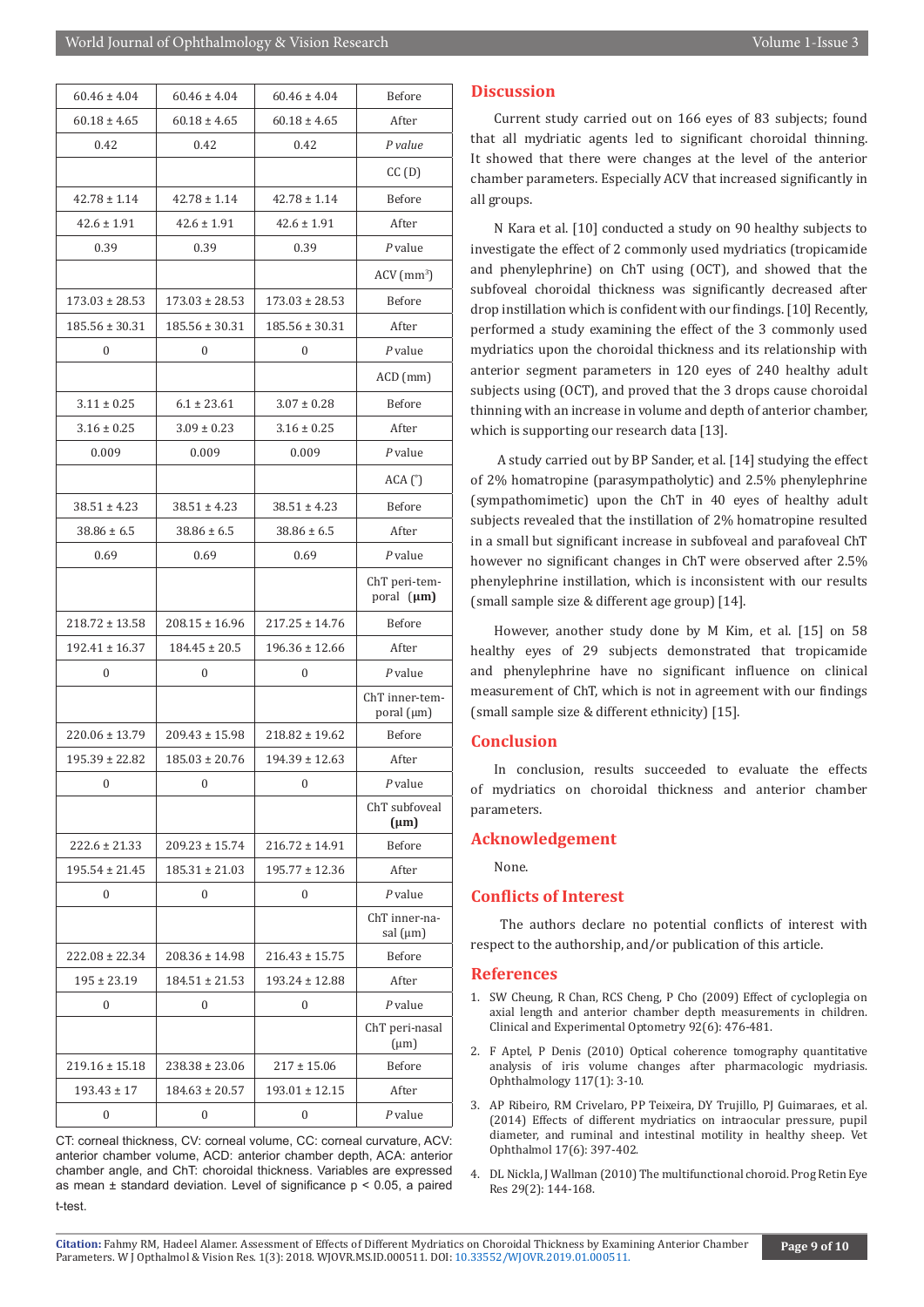| $60.46 \pm 4.04$   | $60.46 \pm 4.04$   | $60.46 \pm 4.04$   | Before                         |
|--------------------|--------------------|--------------------|--------------------------------|
| $60.18 \pm 4.65$   | $60.18 \pm 4.65$   | $60.18 \pm 4.65$   | After                          |
| 0.42               | 0.42               | 0.42               | P value                        |
|                    |                    |                    | CC(D)                          |
| $42.78 \pm 1.14$   | $42.78 \pm 1.14$   | $42.78 \pm 1.14$   | Before                         |
| $42.6 \pm 1.91$    | $42.6 \pm 1.91$    | $42.6 \pm 1.91$    | After                          |
| 0.39               | 0.39               | 0.39               | $P$ value                      |
|                    |                    |                    | $ACV$ (mm <sup>3</sup> )       |
| $173.03 \pm 28.53$ | $173.03 \pm 28.53$ | $173.03 \pm 28.53$ | Before                         |
| $185.56 \pm 30.31$ | $185.56 \pm 30.31$ | $185.56 \pm 30.31$ | After                          |
| 0                  | $\mathbf{0}$       | $\mathbf{0}$       | $P$ value                      |
|                    |                    |                    | $ACD$ (mm)                     |
| $3.11 \pm 0.25$    | $6.1 \pm 23.61$    | $3.07 \pm 0.28$    | Before                         |
| $3.16 \pm 0.25$    | $3.09 \pm 0.23$    | $3.16 \pm 0.25$    | After                          |
| 0.009              | 0.009              | 0.009              | $P$ value                      |
|                    |                    |                    | ACA <sup>°</sup>               |
| $38.51 \pm 4.23$   | $38.51 \pm 4.23$   | $38.51 \pm 4.23$   | Before                         |
| $38.86 \pm 6.5$    | $38.86 \pm 6.5$    | $38.86 \pm 6.5$    | After                          |
| 0.69               | 0.69               | 0.69               | $P$ value                      |
|                    |                    |                    | ChT peri-tem-<br>poral (µm)    |
| $218.72 \pm 13.58$ | $208.15 \pm 16.96$ | $217.25 \pm 14.76$ | Before                         |
| $192.41 \pm 16.37$ | $184.45 \pm 20.5$  | $196.36 \pm 12.66$ | After                          |
| 0                  | $\mathbf{0}$       | 0                  | $P$ value                      |
|                    |                    |                    | ChT inner-tem-<br>poral (µm)   |
| $220.06 \pm 13.79$ | $209.43 \pm 15.98$ | $218.82 \pm 19.62$ | Before                         |
| $195.39 \pm 22.82$ | $185.03 \pm 20.76$ | $194.39 \pm 12.63$ | After                          |
| 0                  | 0                  | 0                  | $P$ value                      |
|                    |                    |                    | ChT subfoveal<br>$(\mu m)$     |
| $222.6 \pm 21.33$  | $209.23 \pm 15.74$ | $216.72 \pm 14.91$ | Before                         |
| $195.54 \pm 21.45$ | $185.31 \pm 21.03$ | $195.77 \pm 12.36$ | After                          |
| 0                  | $\mathbf{0}$       | 0                  | $P$ value                      |
|                    |                    |                    | ChT inner-na-<br>sal $(\mu m)$ |
| $222.08 \pm 22.34$ | $208.36 \pm 14.98$ | $216.43 \pm 15.75$ | Before                         |
| $195 \pm 23.19$    | $184.51 \pm 21.53$ | $193.24 \pm 12.88$ | After                          |
| 0                  | 0                  | 0                  | $P$ value                      |
|                    |                    |                    | ChT peri-nasal<br>$(\mu m)$    |
| $219.16 \pm 15.18$ | $238.38 \pm 23.06$ | $217 \pm 15.06$    | Before                         |
| $193.43 \pm 17$    | $184.63 \pm 20.57$ | 193.01 ± 12.15     | After                          |
| 0                  | $\mathbf{0}$       | 0                  | $P$ value                      |

CT: corneal thickness, CV: corneal volume, CC: corneal curvature, ACV: anterior chamber volume, ACD: anterior chamber depth, ACA: anterior chamber angle, and ChT: choroidal thickness. Variables are expressed as mean  $\pm$  standard deviation. Level of significance  $p \le 0.05$ , a paired t-test.

#### **Discussion**

Current study carried out on 166 eyes of 83 subjects; found that all mydriatic agents led to significant choroidal thinning. It showed that there were changes at the level of the anterior chamber parameters. Especially ACV that increased significantly in all groups.

N Kara et al. [10] conducted a study on 90 healthy subjects to investigate the effect of 2 commonly used mydriatics (tropicamide and phenylephrine) on ChT using (OCT), and showed that the subfoveal choroidal thickness was significantly decreased after drop instillation which is confident with our findings. [10] Recently, performed a study examining the effect of the 3 commonly used mydriatics upon the choroidal thickness and its relationship with anterior segment parameters in 120 eyes of 240 healthy adult subjects using (OCT), and proved that the 3 drops cause choroidal thinning with an increase in volume and depth of anterior chamber, which is supporting our research data [13].

 A study carried out by BP Sander, et al. [14] studying the effect of 2% homatropine (parasympatholytic) and 2.5% phenylephrine (sympathomimetic) upon the ChT in 40 eyes of healthy adult subjects revealed that the instillation of 2% homatropine resulted in a small but significant increase in subfoveal and parafoveal ChT however no significant changes in ChT were observed after 2.5% phenylephrine instillation, which is inconsistent with our results (small sample size & different age group) [14].

However, another study done by M Kim, et al. [15] on 58 healthy eyes of 29 subjects demonstrated that tropicamide and phenylephrine have no significant influence on clinical measurement of ChT, which is not in agreement with our findings (small sample size & different ethnicity) [15].

#### **Conclusion**

In conclusion, results succeeded to evaluate the effects of mydriatics on choroidal thickness and anterior chamber parameters.

#### **Acknowledgement**

None.

#### **Conflicts of Interest**

 The authors declare no potential conflicts of interest with respect to the authorship, and/or publication of this article.

#### **References**

- 1. [SW Cheung, R Chan, RCS Cheng, P Cho \(2009\) Effect of cycloplegia on](https://www.ncbi.nlm.nih.gov/pubmed/19723124) [axial length and anterior chamber depth measurements in children.](https://www.ncbi.nlm.nih.gov/pubmed/19723124) [Clinical and Experimental Optometry 92\(6\): 476-481.](https://www.ncbi.nlm.nih.gov/pubmed/19723124)
- 2. [F Aptel, P Denis \(2010\) Optical coherence tomography quantitative](https://www.ncbi.nlm.nih.gov/pubmed/19923002) [analysis of iris volume changes after pharmacologic mydriasis.](https://www.ncbi.nlm.nih.gov/pubmed/19923002) [Ophthalmology 117\(1\): 3-10.](https://www.ncbi.nlm.nih.gov/pubmed/19923002)
- 3. [AP Ribeiro, RM Crivelaro, PP Teixeira, DY Trujillo, PJ Guimaraes, et al.](https://www.ncbi.nlm.nih.gov/pubmed/24238072) [\(2014\) Effects of different mydriatics on intraocular pressure, pupil](https://www.ncbi.nlm.nih.gov/pubmed/24238072) [diameter, and ruminal and intestinal motility in healthy sheep. Vet](https://www.ncbi.nlm.nih.gov/pubmed/24238072) [Ophthalmol 17\(6\): 397-402.](https://www.ncbi.nlm.nih.gov/pubmed/24238072)
- 4. [DL Nickla, J Wallman \(2010\) The multifunctional choroid. Prog Retin Eye](https://www.ncbi.nlm.nih.gov/pubmed/20044062) [Res 29\(2\): 144-168.](https://www.ncbi.nlm.nih.gov/pubmed/20044062)